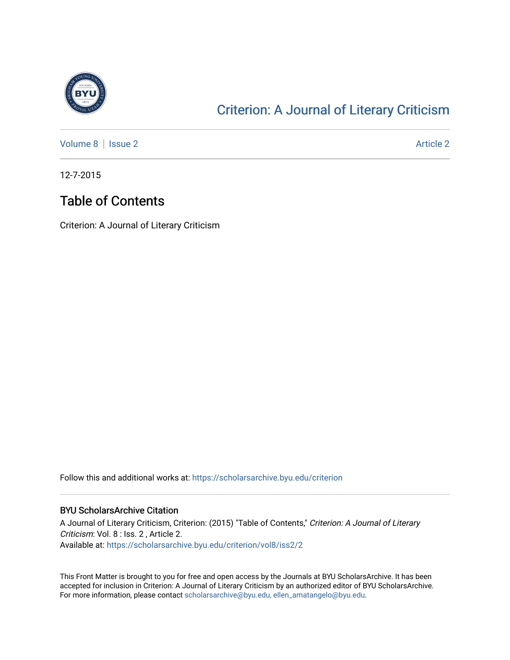<span id="page-0-1"></span>

#### [Criterion: A Journal of Literary Criticism](https://scholarsarchive.byu.edu/criterion)

[Volume 8](https://scholarsarchive.byu.edu/criterion/vol8) | [Issue 2](https://scholarsarchive.byu.edu/criterion/vol8/iss2) Article 2

12-7-2015

#### Table of Contents

Criterion: A Journal of Literary Criticism

Follow this and additional works at: [https://scholarsarchive.byu.edu/criterion](https://scholarsarchive.byu.edu/criterion?utm_source=scholarsarchive.byu.edu%2Fcriterion%2Fvol8%2Fiss2%2F2&utm_medium=PDF&utm_campaign=PDFCoverPages) 

#### BYU ScholarsArchive Citation

A Journal of Literary Criticism, Criterion: (2015) "Table of Contents," Criterion: A Journal of Literary Criticism: Vol. 8 : Iss. 2 , Article 2. Available at: [https://scholarsarchive.byu.edu/criterion/vol8/iss2/2](https://scholarsarchive.byu.edu/criterion/vol8/iss2/2?utm_source=scholarsarchive.byu.edu%2Fcriterion%2Fvol8%2Fiss2%2F2&utm_medium=PDF&utm_campaign=PDFCoverPages) 

<span id="page-0-0"></span>This Front Matter is brought to you for free and open access by the Journals at BYU ScholarsArchive. It has been accepted for inclusion in Criterion: A Journal of Literary Criticism by an authorized editor of BYU ScholarsArchive. For more information, please contact [scholarsarchive@byu.edu, ellen\\_amatangelo@byu.edu](mailto:scholarsarchive@byu.edu,%20ellen_amatangelo@byu.edu).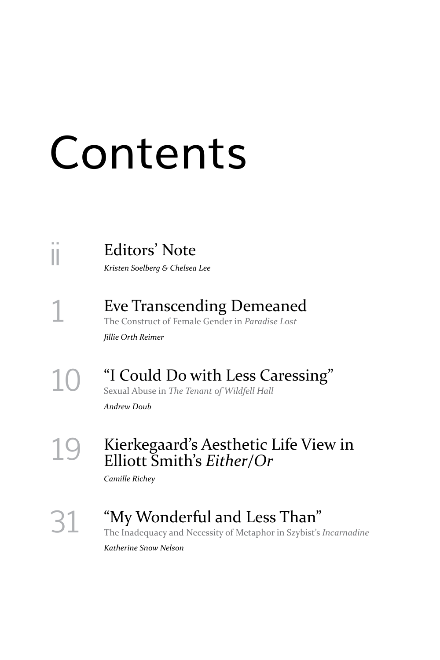# Contents

ii [Editors' Note](#page-0-0)

*Kristen Soelberg & Chelsea Lee*

[1](#page-0-0) Eve Transcending Demeaned The Construct of Female Gender in *Paradise Lost*

*Jillie Orth Reimer*

# 1[0](#page-0-0) "I Could Do with Less Caressing"

Sexual Abuse in *The Tenant of Wildfell Hall*

*Andrew Doub*

#### 1[9](#page-0-0) Kierkegaard's Aesthetic Life View in Elliott Smith's *Either/Or*

*Camille Richey*

# 3[1](#page-0-0) "My Wonderful and Less Than"

The Inadequacy and Necessity of Metaphor in Szybist's *Incarnadine*

*Katherine Snow Nelson*